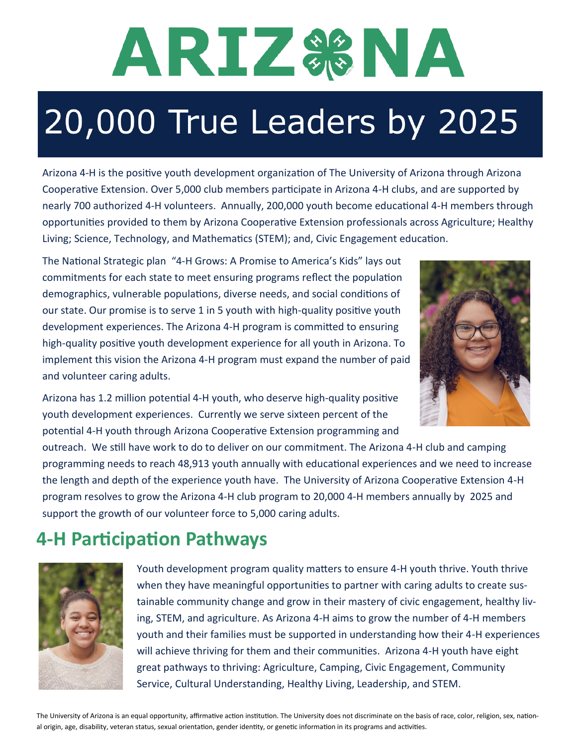# ARIZS&NA

# 20,000 True Leaders by 2025

Arizona 4-H is the positive youth development organization of The University of Arizona through Arizona Cooperative Extension. Over 5,000 club members participate in Arizona 4-H clubs, and are supported by nearly 700 authorized 4-H volunteers. Annually, 200,000 youth become educational 4-H members through opportunities provided to them by Arizona Cooperative Extension professionals across Agriculture; Healthy Living; Science, Technology, and Mathematics (STEM); and, Civic Engagement education.

The National Strategic plan "4-H Grows: A Promise to America's Kids" lays out commitments for each state to meet ensuring programs reflect the population demographics, vulnerable populations, diverse needs, and social conditions of our state. Our promise is to serve 1 in 5 youth with high-quality positive youth development experiences. The Arizona 4-H program is committed to ensuring high-quality positive youth development experience for all youth in Arizona. To implement this vision the Arizona 4-H program must expand the number of paid and volunteer caring adults.



Arizona has 1.2 million potential 4-H youth, who deserve high-quality positive youth development experiences. Currently we serve sixteen percent of the potential 4-H youth through Arizona Cooperative Extension programming and

outreach. We still have work to do to deliver on our commitment. The Arizona 4-H club and camping programming needs to reach 48,913 youth annually with educational experiences and we need to increase the length and depth of the experience youth have. The University of Arizona Cooperative Extension 4-H program resolves to grow the Arizona 4-H club program to 20,000 4-H members annually by 2025 and support the growth of our volunteer force to 5,000 caring adults.

## **4-H Participation Pathways**



Youth development program quality matters to ensure 4-H youth thrive. Youth thrive when they have meaningful opportunities to partner with caring adults to create sustainable community change and grow in their mastery of civic engagement, healthy living, STEM, and agriculture. As Arizona 4-H aims to grow the number of 4-H members youth and their families must be supported in understanding how their 4-H experiences will achieve thriving for them and their communities. Arizona 4-H youth have eight great pathways to thriving: Agriculture, Camping, Civic Engagement, Community Service, Cultural Understanding, Healthy Living, Leadership, and STEM.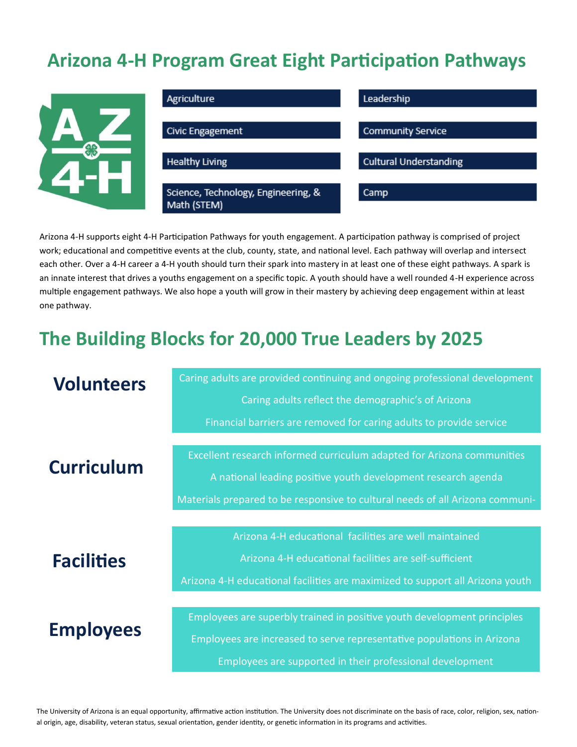#### **Arizona 4-H Program Great Eight Participation Pathways**



Arizona 4-H supports eight 4-H Participation Pathways for youth engagement. A participation pathway is comprised of project work; educational and competitive events at the club, county, state, and national level. Each pathway will overlap and intersect each other. Over a 4-H career a 4-H youth should turn their spark into mastery in at least one of these eight pathways. A spark is an innate interest that drives a youths engagement on a specific topic. A youth should have a well rounded 4-H experience across multiple engagement pathways. We also hope a youth will grow in their mastery by achieving deep engagement within at least one pathway.

### **The Building Blocks for 20,000 True Leaders by 2025**

| <b>Volunteers</b> | Caring adults are provided continuing and ongoing professional development    |
|-------------------|-------------------------------------------------------------------------------|
|                   | Caring adults reflect the demographic's of Arizona                            |
|                   |                                                                               |
|                   | Financial barriers are removed for caring adults to provide service           |
|                   |                                                                               |
| <b>Curriculum</b> | Excellent research informed curriculum adapted for Arizona communities        |
|                   | A national leading positive youth development research agenda                 |
|                   | Materials prepared to be responsive to cultural needs of all Arizona communi- |
|                   |                                                                               |
|                   | Arizona 4-H educational facilities are well maintained                        |
| <b>Facilities</b> | Arizona 4-H educational facilities are self-sufficient                        |
|                   | Arizona 4-H educational facilities are maximized to support all Arizona youth |
|                   |                                                                               |
|                   | Employees are superbly trained in positive youth development principles       |
| <b>Employees</b>  | Employees are increased to serve representative populations in Arizona        |
|                   | Employees are supported in their professional development                     |

The University of Arizona is an equal opportunity, affirmative action institution. The University does not discriminate on the basis of race, color, religion, sex, national origin, age, disability, veteran status, sexual orientation, gender identity, or genetic information in its programs and activities.